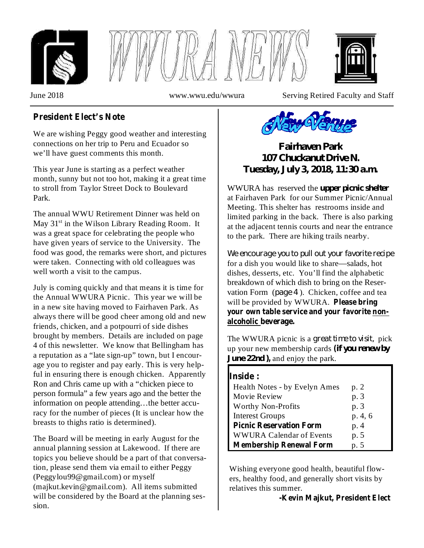





June 2018 www.wwu.edu/wwura Serving Retired Faculty and Staff

# **President Elect's Note**

We are wishing Peggy good weather and interesting connections on her trip to Peru and Ecuador so we'll have guest comments this month.

This year June is starting as a perfect weather month, sunny but not too hot, making it a great time to stroll from Taylor Street Dock to Boulevard Park.

The annual WWU Retirement Dinner was held on May 31<sup>st</sup> in the Wilson Library Reading Room. It was a great space for celebrating the people who have given years of service to the University. The food was good, the remarks were short, and pictures were taken. Connecting with old colleagues was well worth a visit to the campus.

July is coming quickly and that means it is time for the Annual WWURA Picnic. This year we will be in a new site having moved to Fairhaven Park. As always there will be good cheer among old and new friends, chicken, and a potpourri of side dishes brought by members. Details are included on page 4 of this newsletter. We know that Bellingham has a reputation as a "late sign-up" town, but I encourage you to register and pay early. This is very helpful in ensuring there is enough chicken. Apparently Ron and Chris came up with a "chicken piece to person formula" a few years ago and the better the information on people attending…the better accuracy for the number of pieces (It is unclear how the breasts to thighs ratio is determined).

The Board will be meeting in early August for the annual planning session at Lakewood. If there are topics you believe should be a part of that conversation, please send them via email to either Peggy (Peggylou99@gmail.com) or myself (majkut.kevin@gmail.com). All items submitted will be considered by the Board at the planning session.



*Fairhaven Park 107 Chuckanut Drive N. Tuesday, July 3, 2018, 11:30 a.m.*

WWURA has reserved the *upper picnic shelter* at Fairhaven Park for our Summer Picnic/Annual Meeting. This shelter has restrooms inside and limited parking in the back. There is also parking at the adjacent tennis courts and near the entrance to the park. There are hiking trails nearby.

for a dish you would like to share—salads, hot dishes, desserts, etc. You'll find the alphabetic breakdown of which dish to bring on the Reservation Form (page 4). Chicken, coffee and tea will be provided by WWURA. **Please bring** *We encourage you to pull out your favorite recipe* **your own table service and your favorite nonalcoholic beverage.**

The WWURA picnic is a great time to visit, pick up your new membership cards *if you renew by* **(** *June* 22*nd* ), and enjoy the park.

| <b>Inside:</b>                  |        |
|---------------------------------|--------|
| Health Notes - by Evelyn Ames   | p. 2   |
| Movie Review                    | p. 3   |
| <b>Worthy Non-Profits</b>       | p. 3   |
| <b>Interest Groups</b>          | p.4, 6 |
| <b>Picnic Reservation Form</b>  | p. 4   |
| <b>WWURA Calendar of Events</b> | p. 5   |
| <b>Membership Renewal Form</b>  | p. 5   |

Wishing everyone good health, beautiful flowers, healthy food, and generally short visits by relatives this summer.

**-Kevin Majkut, President Elect**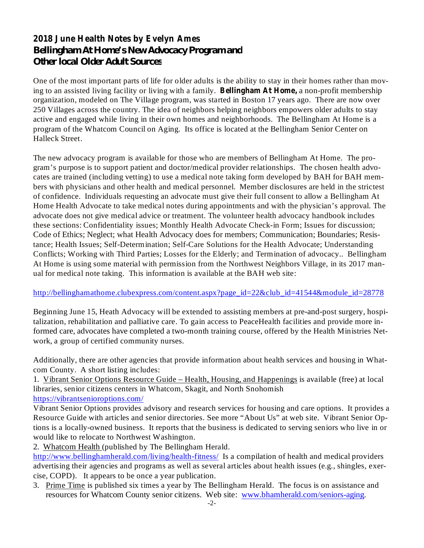# **2018 June Health Notes by Evelyn Ames** *Bellingham At Home's New Advocacy Program and Other local Older Adult Sources*

ing to an assisted living facility or living with a family. **Bellingham At Home,** a non-profit membership One of the most important parts of life for older adults is the ability to stay in their homes rather than movorganization, modeled on The Village program, was started in Boston 17 years ago. There are now over 250 Villages across the country. The idea of neighbors helping neighbors empowers older adults to stay active and engaged while living in their own homes and neighborhoods. The Bellingham At Home is a program of the Whatcom Council on Aging. Its office is located at the Bellingham Senior Center on Halleck Street.

The new advocacy program is available for those who are members of Bellingham At Home. The program's purpose is to support patient and doctor/medical provider relationships. The chosen health advocates are trained (including vetting) to use a medical note taking form developed by BAH for BAH members with physicians and other health and medical personnel. Member disclosures are held in the strictest of confidence. Individuals requesting an advocate must give their full consent to allow a Bellingham At Home Health Advocate to take medical notes during appointments and with the physician's approval. The advocate does not give medical advice or treatment. The volunteer health advocacy handbook includes these sections: Confidentiality issues; Monthly Health Advocate Check-in Form; Issues for discussion; Code of Ethics; Neglect; what Health Advocacy does for members; Communication; Boundaries; Resistance; Health Issues; Self-Determination; Self-Care Solutions for the Health Advocate; Understanding Conflicts; Working with Third Parties; Losses for the Elderly; and Termination of advocacy.. Bellingham At Home is using some material with permission from the Northwest Neighbors Village, in its 2017 manual for medical note taking. This information is available at the BAH web site:

#### http://bellinghamathome.clubexpress.com/content.aspx?page\_id=22&club\_id=41544&module\_id=28778

Beginning June 15, Heath Advocacy will be extended to assisting members at pre-and-post surgery, hospitalization, rehabilitation and palliative care. To gain access to PeaceHealth facilities and provide more informed care, advocates have completed a two-month training course, offered by the Health Ministries Network, a group of certified community nurses.

Additionally, there are other agencies that provide information about health services and housing in Whatcom County. A short listing includes:

1. Vibrant Senior Options Resource Guide – Health, Housing, and Happenings is available (free) at local libraries, senior citizens centers in Whatcom, Skagit, and North Snohomish https://vibrantsenioroptions.com/

Vibrant Senior Options provides advisory and research services for housing and care options. It provides a Resource Guide with articles and senior directories. See more "About Us" at web site. Vibrant Senior Options is a locally-owned business. It reports that the business is dedicated to serving seniors who live in or would like to relocate to Northwest Washington.

2. Whatcom Health (published by The Bellingham Herald.

http://www.bellinghamherald.com/living/health-fitness/ Is a compilation of health and medical providers advertising their agencies and programs as well as several articles about health issues (e.g., shingles, exercise, COPD). It appears to be once a year publication.

3. Prime Time is published six times a year by The Bellingham Herald. The focus is on assistance and resources for Whatcom County senior citizens. Web site: www.bhamherald.com/seniors-aging.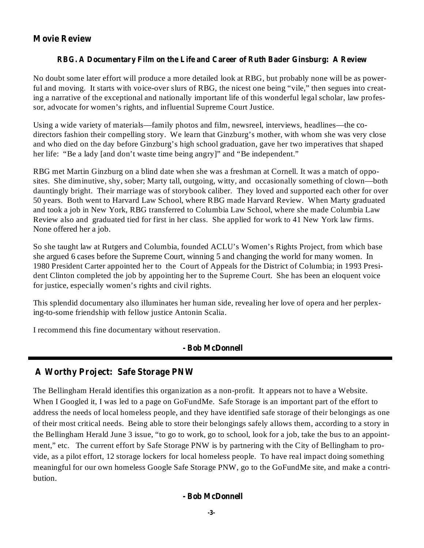## **Movie Review**

### **RBG. A Documentary Film on the Life and Career of Ruth Bader Ginsburg: A Review**

No doubt some later effort will produce a more detailed look at RBG, but probably none will be as powerful and moving. It starts with voice-over slurs of RBG, the nicest one being "vile," then segues into creating a narrative of the exceptional and nationally important life of this wonderful legal scholar, law professor, advocate for women's rights, and influential Supreme Court Justice.

Using a wide variety of materials—family photos and film, newsreel, interviews, headlines—the codirectors fashion their compelling story. We learn that Ginzburg's mother, with whom she was very close and who died on the day before Ginzburg's high school graduation, gave her two imperatives that shaped her life: "Be a lady [and don't waste time being angry]" and "Be independent."

RBG met Martin Ginzburg on a blind date when she was a freshman at Cornell. It was a match of opposites. She diminutive, shy, sober; Marty tall, outgoing, witty, and occasionally something of clown—both dauntingly bright. Their marriage was of storybook caliber. They loved and supported each other for over 50 years. Both went to Harvard Law School, where RBG made Harvard Review. When Marty graduated and took a job in New York, RBG transferred to Columbia Law School, where she made Columbia Law Review also and graduated tied for first in her class. She applied for work to 41 New York law firms. None offered her a job.

So she taught law at Rutgers and Columbia, founded ACLU's Women's Rights Project, from which base she argued 6 cases before the Supreme Court, winning 5 and changing the world for many women. In 1980 President Carter appointed her to the Court of Appeals for the District of Columbia; in 1993 President Clinton completed the job by appointing her to the Supreme Court. She has been an eloquent voice for justice, especially women's rights and civil rights.

This splendid documentary also illuminates her human side, revealing her love of opera and her perplexing-to-some friendship with fellow justice Antonin Scalia.

I recommend this fine documentary without reservation.

## **- Bob McDonnell**

# **A Worthy Project: Safe Storage PNW**

The Bellingham Herald identifies this organization as a non-profit. It appears not to have a Website. When I Googled it, I was led to a page on GoFundMe. Safe Storage is an important part of the effort to address the needs of local homeless people, and they have identified safe storage of their belongings as one of their most critical needs. Being able to store their belongings safely allows them, according to a story in the Bellingham Herald June 3 issue, "to go to work, go to school, look for a job, take the bus to an appointment," etc. The current effort by Safe Storage PNW is by partnering with the City of Bellingham to provide, as a pilot effort, 12 storage lockers for local homeless people. To have real impact doing something meaningful for our own homeless Google Safe Storage PNW, go to the GoFundMe site, and make a contribution.

### **- Bob McDonnell**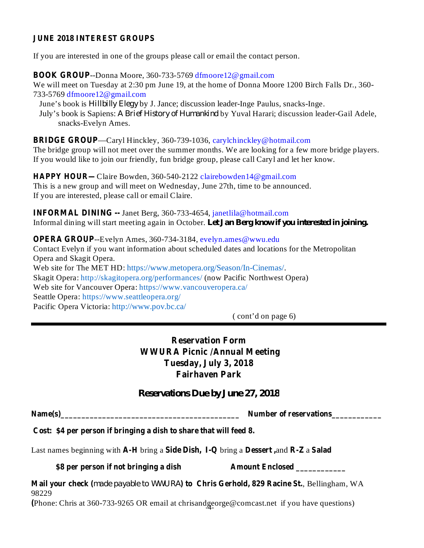#### **JUNE 2018 INTEREST GROUPS**

If you are interested in one of the groups please call or email the contact person.

**BOOK GROUP**--Donna Moore, 360-733-5769 dfmoore12@gmail.com We will meet on Tuesday at 2:30 pm June 19, at the home of Donna Moore 1200 Birch Falls Dr., 360-733-5769 dfmoore12@gmail.com

June's book is *Hillbilly Elegy* by J. Jance; discussion leader-Inge Paulus, snacks-Inge. *July's book is Sapiens: A Brief History of Humankind by Yuval Harari; discussion leader-Gail Adele,* snacks-Evelyn Ames.

—Caryl Hinckley, 360-739-1036, carylchinckley@hotmail.com **BRIDGE GROUP** The bridge group will not meet over the summer months. We are looking for a few more bridge players. If you would like to join our friendly, fun bridge group, please call Caryl and let her know.

**HAPPY HOUR—Claire Bowden, 360-540-2122 clairebowden14@gmail.com** This is a new group and will meet on Wednesday, June 27th, time to be announced. If you are interested, please call or email Claire.

**INFORMAL DINING --** Janet Berg, 360-733-4654, janetlila@hotmail.com Informal dining will start meeting again in October. *Let Jan Berg know if you interested in joining.*

**OPERA GROUP**--Evelyn Ames, 360-734-3184, evelyn.ames@wwu.edu Contact Evelyn if you want information about scheduled dates and locations for the Metropolitan Opera and Skagit Opera. Web site for The MET HD: https://www.metopera.org/Season/In-Cinemas/. Skagit Opera: http://skagitopera.org/performances/ (now Pacific Northwest Opera) Web site for Vancouver Opera: https://www.vancouveropera.ca/ Seattle Opera: https://www.seattleopera.org/ Pacific Opera Victoria: http://www.pov.bc.ca/

( cont'd on page 6)

**Reservation Form WWURA Picnic /Annual Meeting Tuesday, July 3, 2018 Fairhaven Park**

*Reservations Due by June 27, 2018*

**Name(s)\_\_\_\_\_\_\_\_\_\_\_\_\_\_\_\_\_\_\_\_\_\_\_\_\_\_\_\_\_\_\_\_\_\_\_\_\_\_\_\_\_\_\_ Number of reservations\_\_\_\_\_\_\_\_\_\_\_\_**

**Cost: \$4 per person if bringing a dish to share that will feed 8.**

Last names beginning with A-H bring a Side Dish, I-Q bring a Dessert, and R-Z a Salad

**\$8 per person if not bringing a dish Amount Enclosed \_\_\_\_\_\_\_\_\_\_\_\_**

**Mail your check** (made payable to WWURA) **to** Chris Gerhold, 829 Racine St., Bellingham, WA 98229

(Phone: Chris at 360-733-9265 OR email at chrisand george@comcast.net if you have questions)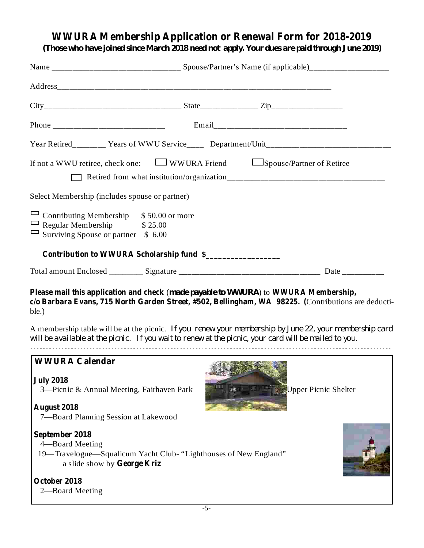# **WWURA Membership Application or Renewal Form for 2018-2019**

*(Those who have joined since March 2018 need not apply. Your dues are paid through June 2019)*

|                                                                                                                                     |                                           | Year Retired_________ Years of WWU Service____ Department/Unit___________________                                                                                                          |
|-------------------------------------------------------------------------------------------------------------------------------------|-------------------------------------------|--------------------------------------------------------------------------------------------------------------------------------------------------------------------------------------------|
| If not a WWU retiree, check one: $\Box$ WWURA Friend $\Box$ Spouse/Partner of Retiree                                               |                                           |                                                                                                                                                                                            |
| Select Membership (includes spouse or partner)                                                                                      |                                           |                                                                                                                                                                                            |
| $\Box$ Contributing Membership $$50.00$ or more<br>$\Box$ Regular Membership $$25.00$<br>$\Box$ Surviving Spouse or partner \$ 6.00 |                                           |                                                                                                                                                                                            |
|                                                                                                                                     | Contribution to WWURA Scholarship fund \$ |                                                                                                                                                                                            |
|                                                                                                                                     |                                           |                                                                                                                                                                                            |
| ble.)                                                                                                                               |                                           | Please mail this application and check (made payable to WWURA) to WWURA Membership,<br>c/o Barbara Evans, 715 North Garden Street, #502, Bellingham, WA 98225. (Contributions are deducti- |

A membership table will be at the picnic. *If you renew your membership by June 22, your membership card* will be available at the picnic. If you wait to renew at the picnic, your card will be mailed to you.

## **WWURA Calendar**

**July 2018** 3—Picnic & Annual Meeting, Fairhaven Park Upper Picnic Shelter

**August 2018** 7—Board Planning Session at Lakewood

### **September 2018**

- 4—Board Meeting
- **George Kriz** a slide show by 19—Travelogue—Squalicum Yacht Club- "Lighthouses of New England"

### **October 2018**

2—Board Meeting